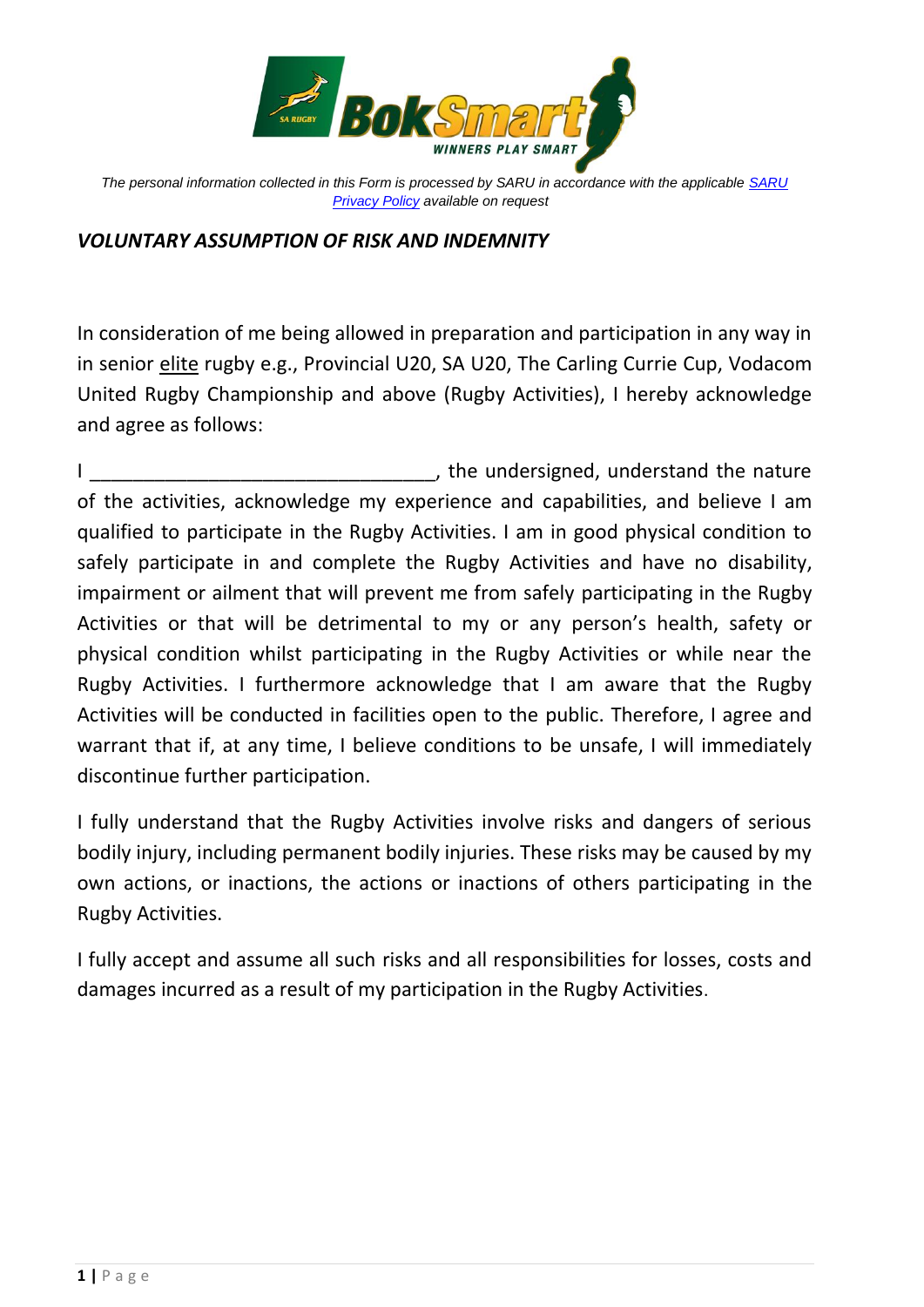

*The personal information collected in this Form is processed by SARU in accordance with the applicable [SARU](https://www.springboks.rugby/general/privacy-policy-updated-2021/)  [Privacy Policy](https://www.springboks.rugby/general/privacy-policy-updated-2021/) available on request*

## *VOLUNTARY ASSUMPTION OF RISK AND INDEMNITY*

In consideration of me being allowed in preparation and participation in any way in in senior elite rugby e.g., Provincial U20, SA U20, The Carling Currie Cup, Vodacom United Rugby Championship and above (Rugby Activities), I hereby acknowledge and agree as follows:

I all the undersigned, understand the nature is a set of the nature of the nature is a set of the nature is a set of the nature is a set of the nature is a set of the nature is a set of the nature is a set of the nature is of the activities, acknowledge my experience and capabilities, and believe I am qualified to participate in the Rugby Activities. I am in good physical condition to safely participate in and complete the Rugby Activities and have no disability, impairment or ailment that will prevent me from safely participating in the Rugby Activities or that will be detrimental to my or any person's health, safety or physical condition whilst participating in the Rugby Activities or while near the Rugby Activities. I furthermore acknowledge that I am aware that the Rugby Activities will be conducted in facilities open to the public. Therefore, I agree and warrant that if, at any time, I believe conditions to be unsafe, I will immediately discontinue further participation.

I fully understand that the Rugby Activities involve risks and dangers of serious bodily injury, including permanent bodily injuries. These risks may be caused by my own actions, or inactions, the actions or inactions of others participating in the Rugby Activities.

I fully accept and assume all such risks and all responsibilities for losses, costs and damages incurred as a result of my participation in the Rugby Activities.